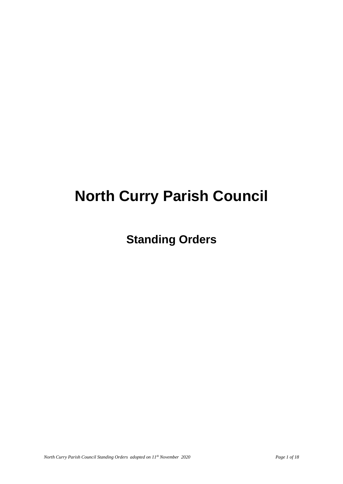# **North Curry Parish Council**

**Standing Orders**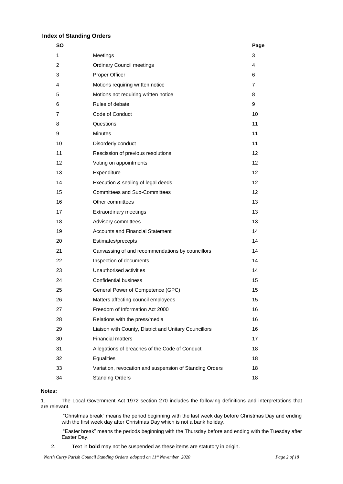# **Index of Standing Orders**

| <b>SO</b> |                                                         | Page           |
|-----------|---------------------------------------------------------|----------------|
| 1         | Meetings                                                | 3              |
| 2         | <b>Ordinary Council meetings</b>                        | 4              |
| 3         | Proper Officer                                          | 6              |
| 4         | Motions requiring written notice                        | $\overline{7}$ |
| 5         | Motions not requiring written notice                    | 8              |
| 6         | Rules of debate                                         | 9              |
| 7         | Code of Conduct                                         | 10             |
| 8         | Questions                                               | 11             |
| 9         | <b>Minutes</b>                                          | 11             |
| 10        | Disorderly conduct                                      | 11             |
| 11        | Rescission of previous resolutions                      | 12             |
| 12        | Voting on appointments                                  | 12             |
| 13        | Expenditure                                             | 12             |
| 14        | Execution & sealing of legal deeds                      | 12             |
| 15        | <b>Committees and Sub-Committees</b>                    | 12             |
| 16        | Other committees                                        | 13             |
| 17        | Extraordinary meetings                                  | 13             |
| 18        | Advisory committees                                     | 13             |
| 19        | <b>Accounts and Financial Statement</b>                 | 14             |
| 20        | Estimates/precepts                                      | 14             |
| 21        | Canvassing of and recommendations by councillors        | 14             |
| 22        | Inspection of documents                                 | 14             |
| 23        | Unauthorised activities                                 | 14             |
| 24        | <b>Confidential business</b>                            | 15             |
| 25        | General Power of Competence (GPC)                       | 15             |
| 26        | Matters affecting council employees                     | 15             |
| 27        | Freedom of Information Act 2000                         | 16             |
| 28        | Relations with the press/media                          | 16             |
| 29        | Liaison with County, District and Unitary Councillors   | 16             |
| 30        | <b>Financial matters</b>                                | 17             |
| 31        | Allegations of breaches of the Code of Conduct          | 18             |
| 32        | <b>Equalities</b>                                       | 18             |
| 33        | Variation, revocation and suspension of Standing Orders | 18             |
| 34        | <b>Standing Orders</b>                                  | 18             |
|           |                                                         |                |

#### **Notes:**

1. The Local Government Act 1972 section 270 includes the following definitions and interpretations that are relevant.

"Christmas break" means the period beginning with the last week day before Christmas Day and ending with the first week day after Christmas Day which is not a bank holiday.

"Easter break" means the periods beginning with the Thursday before and ending with the Tuesday after Easter Day.

2. Text in **bold** may not be suspended as these items are statutory in origin.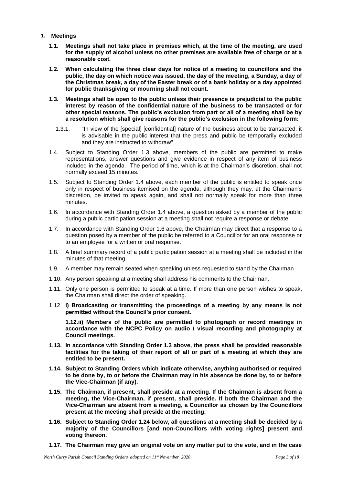- **1. Meetings**
	- **1.1. Meetings shall not take place in premises which, at the time of the meeting, are used for the supply of alcohol unless no other premises are available free of charge or at a reasonable cost.**
	- **1.2. When calculating the three clear days for notice of a meeting to councillors and the public, the day on which notice was issued, the day of the meeting, a Sunday, a day of the Christmas break, a day of the Easter break or of a bank holiday or a day appointed for public thanksgiving or mourning shall not count.**
	- **1.3. Meetings shall be open to the public unless their presence is prejudicial to the public interest by reason of the confidential nature of the business to be transacted or for other special reasons. The public's exclusion from part or all of a meeting shall be by a resolution which shall give reasons for the public's exclusion in the following form:**
		- 1.3.1. "In view of the [special] [confidential] nature of the business about to be transacted, it is advisable in the public interest that the press and public be temporarily excluded and they are instructed to withdraw"
	- 1.4. Subject to Standing Order 1.3 above, members of the public are permitted to make representations, answer questions and give evidence in respect of any item of business included in the agenda. The period of time, which is at the Chairman's discretion, shall not normally exceed 15 minutes.
	- 1.5. Subject to Standing Order 1.4 above, each member of the public is entitled to speak once only in respect of business itemised on the agenda, although they may, at the Chairman's discretion, be invited to speak again, and shall not normally speak for more than three minutes.
	- 1.6. In accordance with Standing Order 1.4 above, a question asked by a member of the public during a public participation session at a meeting shall not require a response or debate.
	- 1.7. In accordance with Standing Order 1.6 above, the Chairman may direct that a response to a question posed by a member of the public be referred to a Councillor for an oral response or to an employee for a written or oral response.
	- 1.8. A brief summary record of a public participation session at a meeting shall be included in the minutes of that meeting.
	- 1.9. A member may remain seated when speaking unless requested to stand by the Chairman
	- 1.10. Any person speaking at a meeting shall address his comments to the Chairman.
	- 1.11. Only one person is permitted to speak at a time. If more than one person wishes to speak, the Chairman shall direct the order of speaking.
	- 1.12. **i) Broadcasting or transmitting the proceedings of a meeting by any means is not permitted without the Council's prior consent.**

**1.12.ii) Members of the public are permitted to photograph or record meetings in accordance with the NCPC Policy on audio / visual recording and photography at Council meetings.**

- **1.13. In accordance with Standing Order 1.3 above, the press shall be provided reasonable facilities for the taking of their report of all or part of a meeting at which they are entitled to be present.**
- **1.14. Subject to Standing Orders which indicate otherwise, anything authorised or required to be done by, to or before the Chairman may in his absence be done by, to or before the Vice-Chairman (if any).**
- **1.15. The Chairman, if present, shall preside at a meeting. If the Chairman is absent from a meeting, the Vice-Chairman, if present, shall preside. If both the Chairman and the Vice-Chairman are absent from a meeting, a Councillor as chosen by the Councillors present at the meeting shall preside at the meeting.**
- **1.16. Subject to Standing Order 1.24 below, all questions at a meeting shall be decided by a majority of the Councillors [and non-Councillors with voting rights] present and voting thereon.**
- **1.17. The Chairman may give an original vote on any matter put to the vote, and in the case**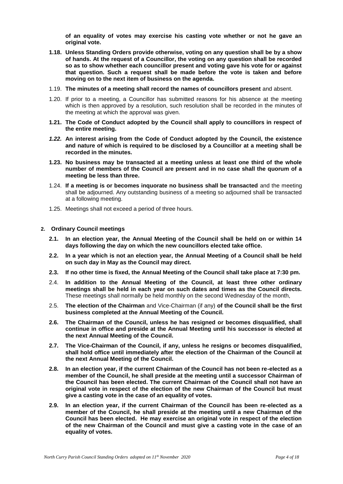**of an equality of votes may exercise his casting vote whether or not he gave an original vote.**

- **1.18. Unless Standing Orders provide otherwise, voting on any question shall be by a show of hands. At the request of a Councillor, the voting on any question shall be recorded so as to show whether each councillor present and voting gave his vote for or against that question. Such a request shall be made before the vote is taken and before moving on to the next item of business on the agenda.**
- 1.19. **The minutes of a meeting shall record the names of councillors present** and absent.
- 1.20. If prior to a meeting, a Councillor has submitted reasons for his absence at the meeting which is then approved by a resolution, such resolution shall be recorded in the minutes of the meeting at which the approval was given.
- **1.21. The Code of Conduct adopted by the Council shall apply to councillors in respect of the entire meeting.**
- *1.22.* **An interest arising from the Code of Conduct adopted by the Council, the existence and nature of which is required to be disclosed by a Councillor at a meeting shall be recorded in the minutes.**
- **1.23. No business may be transacted at a meeting unless at least one third of the whole number of members of the Council are present and in no case shall the quorum of a meeting be less than three.**
- 1.24. **If a meeting is or becomes inquorate no business shall be transacted** and the meeting shall be adjourned. Any outstanding business of a meeting so adjourned shall be transacted at a following meeting.
- 1.25. Meetings shall not exceed a period of three hours.

#### **2. Ordinary Council meetings**

- **2.1. In an election year, the Annual Meeting of the Council shall be held on or within 14 days following the day on which the new councillors elected take office.**
- **2.2. In a year which is not an election year, the Annual Meeting of a Council shall be held on such day in May as the Council may direct.**
- **2.3. If no other time is fixed, the Annual Meeting of the Council shall take place at 7:30 pm.**
- 2.4. **In addition to the Annual Meeting of the Council, at least three other ordinary meetings shall be held in each year on such dates and times as the Council directs.**  These meetings shall normally be held monthly on the second Wednesday of the month,
- 2.5. **The election of the Chairman** and Vice-Chairman (if any) **of the Council shall be the first business completed at the Annual Meeting of the Council.**
- **2.6. The Chairman of the Council, unless he has resigned or becomes disqualified, shall continue in office and preside at the Annual Meeting until his successor is elected at the next Annual Meeting of the Council.**
- **2.7. The Vice-Chairman of the Council, if any, unless he resigns or becomes disqualified, shall hold office until immediately after the election of the Chairman of the Council at the next Annual Meeting of the Council.**
- **2.8. In an election year, if the current Chairman of the Council has not been re-elected as a member of the Council, he shall preside at the meeting until a successor Chairman of the Council has been elected. The current Chairman of the Council shall not have an original vote in respect of the election of the new Chairman of the Council but must give a casting vote in the case of an equality of votes.**
- **2.9. In an election year, if the current Chairman of the Council has been re-elected as a member of the Council, he shall preside at the meeting until a new Chairman of the Council has been elected. He may exercise an original vote in respect of the election of the new Chairman of the Council and must give a casting vote in the case of an equality of votes.**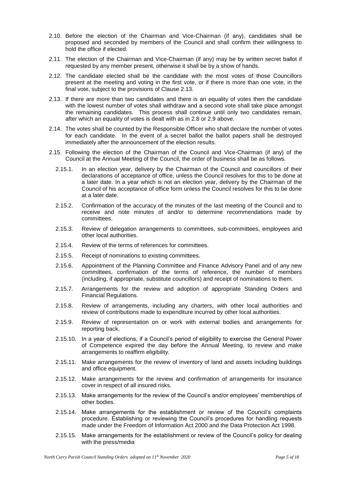- 2.10. Before the election of the Chairman and Vice-Chairman (if any), candidates shall be proposed and seconded by members of the Council and shall confirm their willingness to hold the office if elected.
- 2.11. The election of the Chairman and Vice-Chairman (if any) may be by written secret ballot if requested by any member present, otherwise it shall be by a show of hands.
- 2.12. The candidate elected shall be the candidate with the most votes of those Councillors present at the meeting and voting in the first vote, or if there is more than one vote, in the final vote, subject to the provisions of Clause 2.13.
- 2.13. If there are more than two candidates and there is an equality of votes then the candidate with the lowest number of votes shall withdraw and a second vote shall take place amongst the remaining candidates. This process shall continue until only two candidates remain, after which an equality of votes is dealt with as in 2.8 or 2.9 above.
- 2.14. The votes shall be counted by the Responsible Officer who shall declare the number of votes for each candidate. In the event of a secret ballot the ballot papers shall be destroyed immediately after the announcement of the election results.
- 2.15. Following the election of the Chairman of the Council and Vice-Chairman (if any) of the Council at the Annual Meeting of the Council, the order of business shall be as follows.
	- 2.15.1. In an election year, delivery by the Chairman of the Council and councillors of their declarations of acceptance of office, unless the Council resolves for this to be done at a later date. In a year which is not an election year, delivery by the Chairman of the Council of his acceptance of office form unless the Council resolves for this to be done at a later date.
	- 2.15.2. Confirmation of the accuracy of the minutes of the last meeting of the Council and to receive and note minutes of and/or to determine recommendations made by committees.
	- 2.15.3. Review of delegation arrangements to committees, sub-committees, employees and other local authorities.
	- 2.15.4. Review of the terms of references for committees.
	- 2.15.5. Receipt of nominations to existing committees.
	- 2.15.6. Appointment of the Planning Committee and Finance Advisory Panel and of any new committees, confirmation of the terms of reference, the number of members (including, if appropriate, substitute councillors) and receipt of nominations to them.
	- 2.15.7. Arrangements for the review and adoption of appropriate Standing Orders and Financial Regulations.
	- 2.15.8. Review of arrangements, including any charters, with other local authorities and review of contributions made to expenditure incurred by other local authorities.
	- 2.15.9. Review of representation on or work with external bodies and arrangements for reporting back.
	- 2.15.10. In a year of elections, if a Council's period of eligibility to exercise the General Power of Competence expired the day before the Annual Meeting, to review and make arrangements to reaffirm eligibility.
	- 2.15.11. Make arrangements for the review of inventory of land and assets including buildings and office equipment.
	- 2.15.12. Make arrangements for the review and confirmation of arrangements for insurance cover in respect of all insured risks.
	- 2.15.13. Make arrangements for the review of the Council's and/or employees' memberships of other bodies.
	- 2.15.14. Make arrangements for the establishment or review of the Council's complaints procedure. Establishing or reviewing the Council's procedures for handling requests made under the Freedom of Information Act 2000 and the Data Protection Act 1998.
	- 2.15.15. Make arrangements for the establishment or review of the Council's policy for dealing with the press/media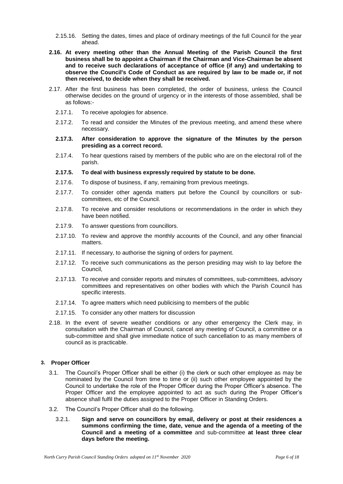- 2.15.16. Setting the dates, times and place of ordinary meetings of the full Council for the year ahead.
- **2.16. At every meeting other than the Annual Meeting of the Parish Council the first business shall be to appoint a Chairman if the Chairman and Vice-Chairman be absent and to receive such declarations of acceptance of office (if any) and undertaking to observe the Council's Code of Conduct as are required by law to be made or, if not then received, to decide when they shall be received.**
- 2.17. After the first business has been completed, the order of business, unless the Council otherwise decides on the ground of urgency or in the interests of those assembled, shall be as follows:-
	- 2.17.1. To receive apologies for absence.
	- 2.17.2. To read and consider the Minutes of the previous meeting, and amend these where necessary.
	- **2.17.3. After consideration to approve the signature of the Minutes by the person presiding as a correct record.**
	- 2.17.4. To hear questions raised by members of the public who are on the electoral roll of the parish.
	- **2.17.5. To deal with business expressly required by statute to be done.**
	- 2.17.6. To dispose of business, if any, remaining from previous meetings.
	- 2.17.7. To consider other agenda matters put before the Council by councillors or subcommittees, etc of the Council.
	- 2.17.8. To receive and consider resolutions or recommendations in the order in which they have been notified.
	- 2.17.9. To answer questions from councillors.
	- 2.17.10. To review and approve the monthly accounts of the Council, and any other financial matters.
	- 2.17.11. If necessary, to authorise the signing of orders for payment.
	- 2.17.12. To receive such communications as the person presiding may wish to lay before the Council,
	- 2.17.13. To receive and consider reports and minutes of committees, sub-committees, advisory committees and representatives on other bodies with which the Parish Council has specific interests.
	- 2.17.14. To agree matters which need publicising to members of the public
	- 2.17.15. To consider any other matters for discussion
- 2.18. In the event of severe weather conditions or any other emergency the Clerk may, in consultation with the Chairman of Council, cancel any meeting of Council, a committee or a sub-committee and shall give immediate notice of such cancellation to as many members of council as is practicable.

#### **3. Proper Officer**

- 3.1. The Council's Proper Officer shall be either (i) the clerk or such other employee as may be nominated by the Council from time to time or (ii) such other employee appointed by the Council to undertake the role of the Proper Officer during the Proper Officer's absence. The Proper Officer and the employee appointed to act as such during the Proper Officer's absence shall fulfil the duties assigned to the Proper Officer in Standing Orders.
- 3.2. The Council's Proper Officer shall do the following.
	- 3.2.1. **Sign and serve on councillors by email, delivery or post at their residences a summons confirming the time, date, venue and the agenda of a meeting of the Council and a meeting of a committee** and sub-committee **at least three clear days before the meeting.**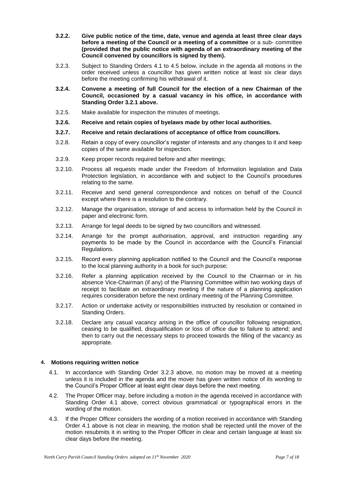- **3.2.2. Give public notice of the time, date, venue and agenda at least three clear days before a meeting of the Council or a meeting of a committee** or a sub- committee **(provided that the public notice with agenda of an extraordinary meeting of the Council convened by councillors is signed by them).**
- 3.2.3. Subject to Standing Orders 4.1 to 4.5 below, include in the agenda all motions in the order received unless a councillor has given written notice at least six clear days before the meeting confirming his withdrawal of it.
- **3.2.4. Convene a meeting of full Council for the election of a new Chairman of the Council, occasioned by a casual vacancy in his office, in accordance with Standing Order 3.2.1 above.**
- 3.2.5. Make available for inspection the minutes of meetings.
- **3.2.6. Receive and retain copies of byelaws made by other local authorities.**
- **3.2.7. Receive and retain declarations of acceptance of office from councillors.**
- 3.2.8. Retain a copy of every councillor's register of interests and any changes to it and keep copies of the same available for inspection.
- 3.2.9. Keep proper records required before and after meetings;
- 3.2.10. Process all requests made under the Freedom of Information legislation and Data Protection legislation, in accordance with and subject to the Council's procedures relating to the same.
- 3.2.11. Receive and send general correspondence and notices on behalf of the Council except where there is a resolution to the contrary.
- 3.2.12. Manage the organisation, storage of and access to information held by the Council in paper and electronic form.
- 3.2.13. Arrange for legal deeds to be signed by two councillors and witnessed.
- 3.2.14. Arrange for the prompt authorisation, approval, and instruction regarding any payments to be made by the Council in accordance with the Council's Financial Regulations.
- 3.2.15. Record every planning application notified to the Council and the Council's response to the local planning authority in a book for such purpose;
- 3.2.16. Refer a planning application received by the Council to the Chairman or in his absence Vice-Chairman (if any) of the Planning Committee within two working days of receipt to facilitate an extraordinary meeting if the nature of a planning application requires consideration before the next ordinary meeting of the Planning Committee.
- 3.2.17. Action or undertake activity or responsibilities instructed by resolution or contained in Standing Orders.
- 3.2.18. Declare any casual vacancy arising in the office of councillor following resignation, ceasing to be qualified, disqualification or loss of office due to failure to attend; and then to carry out the necessary steps to proceed towards the filling of the vacancy as appropriate.

# **4. Motions requiring written notice**

- 4.1. In accordance with Standing Order 3.2.3 above, no motion may be moved at a meeting unless it is included in the agenda and the mover has given written notice of its wording to the Council's Proper Officer at least eight clear days before the next meeting.
- 4.2. The Proper Officer may, before including a motion in the agenda received in accordance with Standing Order 4.1 above, correct obvious grammatical or typographical errors in the wording of the motion.
- 4.3. If the Proper Officer considers the wording of a motion received in accordance with Standing Order 4.1 above is not clear in meaning, the motion shall be rejected until the mover of the motion resubmits it in writing to the Proper Officer in clear and certain language at least six clear days before the meeting.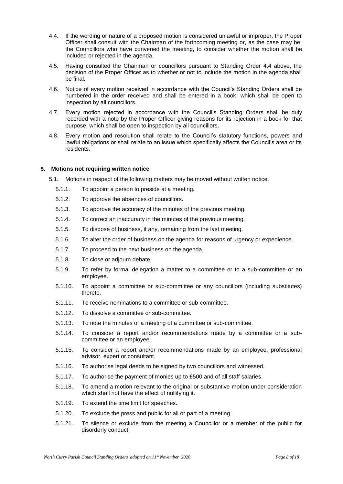- 4.4. If the wording or nature of a proposed motion is considered unlawful or improper, the Proper Officer shall consult with the Chairman of the forthcoming meeting or, as the case may be, the Councillors who have convened the meeting, to consider whether the motion shall be included or rejected in the agenda.
- 4.5. Having consulted the Chairman or councillors pursuant to Standing Order 4.4 above, the decision of the Proper Officer as to whether or not to include the motion in the agenda shall be final.
- 4.6. Notice of every motion received in accordance with the Council's Standing Orders shall be numbered in the order received and shall be entered in a book, which shall be open to inspection by all councillors.
- 4.7. Every motion rejected in accordance with the Council's Standing Orders shall be duly recorded with a note by the Proper Officer giving reasons for its rejection in a book for that purpose, which shall be open to inspection by all councillors.
- 4.8. Every motion and resolution shall relate to the Council's statutory functions, powers and lawful obligations or shall relate to an issue which specifically affects the Council's area or its residents.

# **5. Motions not requiring written notice**

- 5.1. Motions in respect of the following matters may be moved without written notice.
	- 5.1.1. To appoint a person to preside at a meeting.
	- 5.1.2. To approve the absences of councillors.
	- 5.1.3. To approve the accuracy of the minutes of the previous meeting.
	- 5.1.4. To correct an inaccuracy in the minutes of the previous meeting.
	- 5.1.5. To dispose of business, if any, remaining from the last meeting.
	- 5.1.6. To alter the order of business on the agenda for reasons of urgency or expedience.
	- 5.1.7. To proceed to the next business on the agenda.
	- 5.1.8. To close or adjourn debate.
	- 5.1.9. To refer by formal delegation a matter to a committee or to a sub-committee or an employee.
	- 5.1.10. To appoint a committee or sub-committee or any councillors (including substitutes) thereto.
	- 5.1.11. To receive nominations to a committee or sub-committee.
	- 5.1.12. To dissolve a committee or sub-committee.
	- 5.1.13. To note the minutes of a meeting of a committee or sub-committee.
	- 5.1.14. To consider a report and/or recommendations made by a committee or a subcommittee or an employee.
	- 5.1.15. To consider a report and/or recommendations made by an employee, professional advisor, expert or consultant.
	- 5.1.16. To authorise legal deeds to be signed by two councillors and witnessed.
	- 5.1.17. To authorise the payment of monies up to £500 and of all staff salaries.
	- 5.1.18. To amend a motion relevant to the original or substantive motion under consideration which shall not have the effect of nullifying it.
	- 5.1.19. To extend the time limit for speeches.
	- 5.1.20. To exclude the press and public for all or part of a meeting.
	- 5.1.21. To silence or exclude from the meeting a Councillor or a member of the public for disorderly conduct.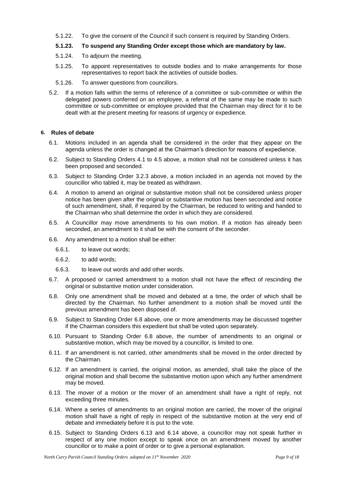5.1.22. To give the consent of the Council if such consent is required by Standing Orders.

# **5.1.23. To suspend any Standing Order except those which are mandatory by law.**

- 5.1.24. To adjourn the meeting.
- 5.1.25. To appoint representatives to outside bodies and to make arrangements for those representatives to report back the activities of outside bodies.
- 5.1.26. To answer questions from councillors.
- 5.2. If a motion falls within the terms of reference of a committee or sub-committee or within the delegated powers conferred on an employee, a referral of the same may be made to such committee or sub-committee or employee provided that the Chairman may direct for it to be dealt with at the present meeting for reasons of urgency or expedience.

# **6. Rules of debate**

- 6.1. Motions included in an agenda shall be considered in the order that they appear on the agenda unless the order is changed at the Chairman's direction for reasons of expedience.
- 6.2. Subject to Standing Orders 4.1 to 4.5 above, a motion shall not be considered unless it has been proposed and seconded.
- 6.3. Subject to Standing Order 3.2.3 above, a motion included in an agenda not moved by the councillor who tabled it, may be treated as withdrawn.
- 6.4. A motion to amend an original or substantive motion shall not be considered unless proper notice has been given after the original or substantive motion has been seconded and notice of such amendment, shall, if required by the Chairman, be reduced to writing and handed to the Chairman who shall determine the order in which they are considered.
- 6.5. A Councillor may move amendments to his own motion. If a motion has already been seconded, an amendment to it shall be with the consent of the seconder.
- 6.6. Any amendment to a motion shall be either:
	- 6.6.1. to leave out words;
	- 6.6.2. to add words;
	- 6.6.3. to leave out words and add other words.
- 6.7. A proposed or carried amendment to a motion shall not have the effect of rescinding the original or substantive motion under consideration.
- 6.8. Only one amendment shall be moved and debated at a time, the order of which shall be directed by the Chairman. No further amendment to a motion shall be moved until the previous amendment has been disposed of.
- 6.9. Subject to Standing Order 6.8 above, one or more amendments may be discussed together if the Chairman considers this expedient but shall be voted upon separately.
- 6.10. Pursuant to Standing Order 6.8 above, the number of amendments to an original or substantive motion, which may be moved by a councillor, is limited to one.
- 6.11. If an amendment is not carried, other amendments shall be moved in the order directed by the Chairman.
- 6.12. If an amendment is carried, the original motion, as amended, shall take the place of the original motion and shall become the substantive motion upon which any further amendment may be moved.
- 6.13. The mover of a motion or the mover of an amendment shall have a right of reply, not exceeding three minutes.
- 6.14. Where a series of amendments to an original motion are carried, the mover of the original motion shall have a right of reply in respect of the substantive motion at the very end of debate and immediately before it is put to the vote.
- 6.15. Subject to Standing Orders 6.13 and 6.14 above, a councillor may not speak further in respect of any one motion except to speak once on an amendment moved by another councillor or to make a point of order or to give a personal explanation.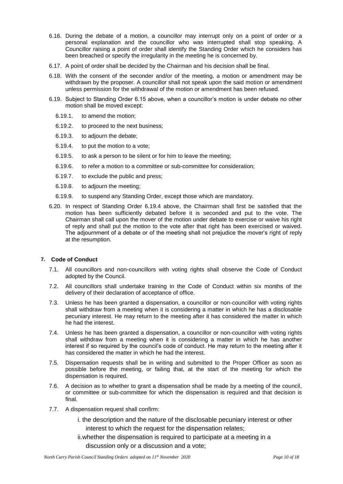- 6.16. During the debate of a motion, a councillor may interrupt only on a point of order or a personal explanation and the councillor who was interrupted shall stop speaking. A Councillor raising a point of order shall identify the Standing Order which he considers has been breached or specify the irregularity in the meeting he is concerned by.
- 6.17. A point of order shall be decided by the Chairman and his decision shall be final.
- 6.18. With the consent of the seconder and/or of the meeting, a motion or amendment may be withdrawn by the proposer. A councillor shall not speak upon the said motion or amendment unless permission for the withdrawal of the motion or amendment has been refused.
- 6.19. Subject to Standing Order 6.15 above, when a councillor's motion is under debate no other motion shall be moved except:
	- 6.19.1. to amend the motion;
	- 6.19.2. to proceed to the next business;
	- 6.19.3. to adjourn the debate;
	- 6.19.4. to put the motion to a vote;
	- 6.19.5. to ask a person to be silent or for him to leave the meeting;
	- 6.19.6. to refer a motion to a committee or sub-committee for consideration;
	- 6.19.7. to exclude the public and press;
	- 6.19.8. to adjourn the meeting;
	- 6.19.9. to suspend any Standing Order, except those which are mandatory.
- 6.20. In respect of Standing Order 6.19.4 above, the Chairman shall first be satisfied that the motion has been sufficiently debated before it is seconded and put to the vote. The Chairman shall call upon the mover of the motion under debate to exercise or waive his right of reply and shall put the motion to the vote after that right has been exercised or waived. The adjournment of a debate or of the meeting shall not prejudice the mover's right of reply at the resumption.

#### **7. Code of Conduct**

- 7.1. All councillors and non-councillors with voting rights shall observe the Code of Conduct adopted by the Council.
- 7.2. All councillors shall undertake training in the Code of Conduct within six months of the delivery of their declaration of acceptance of office.
- 7.3. Unless he has been granted a dispensation, a councillor or non-councillor with voting rights shall withdraw from a meeting when it is considering a matter in which he has a disclosable pecuniary interest. He may return to the meeting after it has considered the matter in which he had the interest.
- 7.4. Unless he has been granted a dispensation, a councillor or non-councillor with voting rights shall withdraw from a meeting when it is considering a matter in which he has another interest if so required by the council's code of conduct. He may return to the meeting after it has considered the matter in which he had the interest.
- 7.5. Dispensation requests shall be in writing and submitted to the Proper Officer as soon as possible before the meeting, or failing that, at the start of the meeting for which the dispensation is required.
- 7.6. A decision as to whether to grant a dispensation shall be made by a meeting of the council, or committee or sub-committee for which the dispensation is required and that decision is final.
- 7.7. A dispensation request shall confirm:
	- i. the description and the nature of the disclosable pecuniary interest or other interest to which the request for the dispensation relates;
	- ii.whether the dispensation is required to participate at a meeting in a discussion only or a discussion and a vote;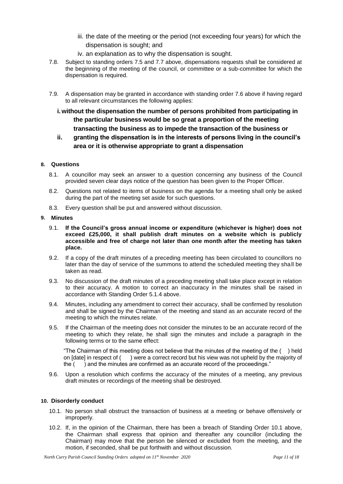- iii. the date of the meeting or the period (not exceeding four years) for which the dispensation is sought; and
- iv. an explanation as to why the dispensation is sought.
- 7.8. Subject to standing orders 7.5 and 7.7 above, dispensations requests shall be considered at the beginning of the meeting of the council, or committee or a sub-committee for which the dispensation is required.
- 7.9. A dispensation may be granted in accordance with standing order 7.6 above if having regard to all relevant circumstances the following applies:
	- **i.without the dispensation the number of persons prohibited from participating in the particular business would be so great a proportion of the meeting transacting the business as to impede the transaction of the business or**
	- **ii. granting the dispensation is in the interests of persons living in the council's area or it is otherwise appropriate to grant a dispensation**

# **8. Questions**

- 8.1. A councillor may seek an answer to a question concerning any business of the Council provided seven clear days notice of the question has been given to the Proper Officer.
- 8.2. Questions not related to items of business on the agenda for a meeting shall only be asked during the part of the meeting set aside for such questions.
- 8.3. Every question shall be put and answered without discussion.

#### **9. Minutes**

- 9.1. **If the Council's gross annual income or expenditure (whichever is higher) does not exceed £25,000, it shall publish draft minutes on a website which is publicly accessible and free of charge not later than one month after the meeting has taken place.**
- 9.2. If a copy of the draft minutes of a preceding meeting has been circulated to councillors no later than the day of service of the summons to attend the scheduled meeting they shall be taken as read.
- 9.3. No discussion of the draft minutes of a preceding meeting shall take place except in relation to their accuracy. A motion to correct an inaccuracy in the minutes shall be raised in accordance with Standing Order 5.1.4 above.
- 9.4. Minutes, including any amendment to correct their accuracy, shall be confirmed by resolution and shall be signed by the Chairman of the meeting and stand as an accurate record of the meeting to which the minutes relate.
- 9.5. If the Chairman of the meeting does not consider the minutes to be an accurate record of the meeting to which they relate, he shall sign the minutes and include a paragraph in the following terms or to the same effect:

"The Chairman of this meeting does not believe that the minutes of the meeting of the ( ) held on [date] in respect of ( ) were a correct record but his view was not upheld by the majority of the ( ) and the minutes are confirmed as an accurate record of the proceedings."

9.6. Upon a resolution which confirms the accuracy of the minutes of a meeting, any previous draft minutes or recordings of the meeting shall be destroyed.

# **10. Disorderly conduct**

- 10.1. No person shall obstruct the transaction of business at a meeting or behave offensively or improperly.
- 10.2. If, in the opinion of the Chairman, there has been a breach of Standing Order 10.1 above, the Chairman shall express that opinion and thereafter any councillor (including the Chairman) may move that the person be silenced or excluded from the meeting, and the motion, if seconded, shall be put forthwith and without discussion.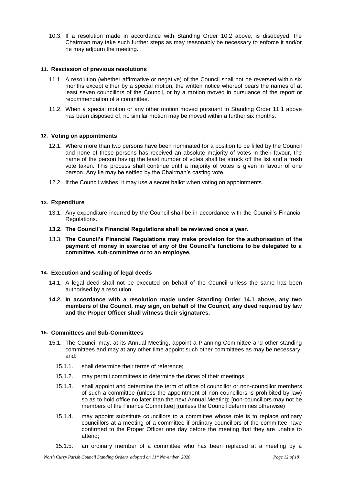10.3. If a resolution made in accordance with Standing Order 10.2 above, is disobeyed, the Chairman may take such further steps as may reasonably be necessary to enforce it and/or he may adjourn the meeting.

## **11. Rescission of previous resolutions**

- 11.1. A resolution (whether affirmative or negative) of the Council shall not be reversed within six months except either by a special motion, the written notice whereof bears the names of at least seven councillors of the Council, or by a motion moved in pursuance of the report or recommendation of a committee.
- 11.2. When a special motion or any other motion moved pursuant to Standing Order 11.1 above has been disposed of, no similar motion may be moved within a further six months.

# **12. Voting on appointments**

- 12.1. Where more than two persons have been nominated for a position to be filled by the Council and none of those persons has received an absolute majority of votes in their favour, the name of the person having the least number of votes shall be struck off the list and a fresh vote taken. This process shall continue until a majority of votes is given in favour of one person. Any tie may be settled by the Chairman's casting vote.
- 12.2. If the Council wishes, it may use a secret ballot when voting on appointments.

# **13. Expenditure**

- 13.1. Any expenditure incurred by the Council shall be in accordance with the Council's Financial Regulations.
- **13.2. The Council's Financial Regulations shall be reviewed once a year.**
- 13.3. **The Council's Financial Regulations may make provision for the authorisation of the payment of money in exercise of any of the Council's functions to be delegated to a committee, sub-committee or to an employee.**

#### **14. Execution and sealing of legal deeds**

- 14.1. A legal deed shall not be executed on behalf of the Council unless the same has been authorised by a resolution.
- **14.2. In accordance with a resolution made under Standing Order 14.1 above, any two members of the Council, may sign, on behalf of the Council, any deed required by law and the Proper Officer shall witness their signatures.**

# **15. Committees and Sub-Committees**

- 15.1. The Council may, at its Annual Meeting, appoint a Planning Committee and other standing committees and may at any other time appoint such other committees as may be necessary, and:
	- 15.1.1. shall determine their terms of reference;
	- 15.1.2. may permit committees to determine the dates of their meetings;
	- 15.1.3. shall appoint and determine the term of office of councillor or non-councillor members of such a committee (unless the appointment of non-councillors is prohibited by law) so as to hold office no later than the next Annual Meeting; [non-councillors may not be members of the Finance Committee] [(unless the Council determines otherwise)
	- 15.1.4. may appoint substitute councillors to a committee whose role is to replace ordinary councillors at a meeting of a committee if ordinary councillors of the committee have confirmed to the Proper Officer one day before the meeting that they are unable to attend;
	- 15.1.5. an ordinary member of a committee who has been replaced at a meeting by a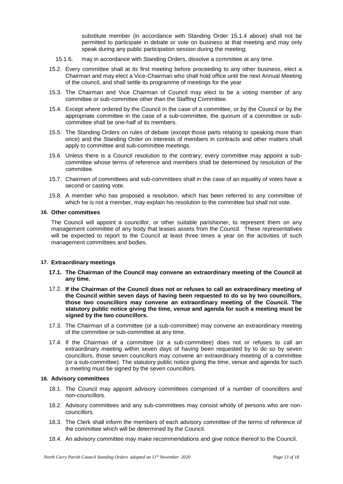substitute member (in accordance with Standing Order 15.1.4 above) shall not be permitted to participate in debate or vote on business at that meeting and may only speak during any public participation session during the meeting;

- 15.1.6. may in accordance with Standing Orders, dissolve a committee at any time.
- 15.2. Every committee shall at its first meeting before proceeding to any other business, elect a Chairman and may elect a Vice-Chairman who shall hold office until the next Annual Meeting of the council, and shall settle its programme of meetings for the year
- 15.3. The Chairman and Vice Chairman of Council may elect to be a voting member of any committee or sub-committee other than the Staffing Committee.
- 15.4. Except where ordered by the Council in the case of a committee, or by the Council or by the appropriate committee in the case of a sub-committee, the quorum of a committee or subcommittee shall be one-half of its members.
- 15.5. The Standing Orders on rules of debate (except those parts relating to speaking more than once) and the Standing Order on interests of members in contracts and other matters shall apply to committee and sub-committee meetings.
- 15.6. Unless there is a Council resolution to the contrary, every committee may appoint a subcommittee whose terms of reference and members shall be determined by resolution of the committee.
- 15.7. Chairmen of committees and sub-committees shall in the case of an equality of votes have a second or casting vote.
- 15.8. A member who has proposed a resolution, which has been referred to any committee of which he is not a member, may explain his resolution to the committee but shall not vote.

# **16. Other committees**

The Council will appoint a councillor, or other suitable parishioner, to represent them on any management committee of any body that leases assets from the Council. These representatives will be expected to report to the Council at least three times a year on the activities of such management committees and bodies.

#### **17. Extraordinary meetings**

- **17.1. The Chairman of the Council may convene an extraordinary meeting of the Council at any time.**
- 17.2. **If the Chairman of the Council does not or refuses to call an extraordinary meeting of the Council within seven days of having been requested to do so by two councillors, those two councillors may convene an extraordinary meeting of the Council. The statutory public notice giving the time, venue and agenda for such a meeting must be signed by the two councillors.**
- 17.3. The Chairman of a committee (or a sub-committee) may convene an extraordinary meeting of the committee or sub-committee at any time.
- 17.4. If the Chairman of a committee (or a sub-committee) does not or refuses to call an extraordinary meeting within seven days of having been requested by to do so by seven councillors, those seven councillors may convene an extraordinary meeting of a committee (or a sub-committee). The statutory public notice giving the time, venue and agenda for such a meeting must be signed by the seven councillors.

## **18. Advisory committees**

- 18.1. The Council may appoint advisory committees comprised of a number of councillors and non-councillors.
- 18.2. Advisory committees and any sub-committees may consist wholly of persons who are noncouncillors.
- 18.3. The Clerk shall inform the members of each advisory committee of the terms of reference of the committee which will be determined by the Council.
- 18.4. An advisory committee may make recommendations and give notice thereof to the Council.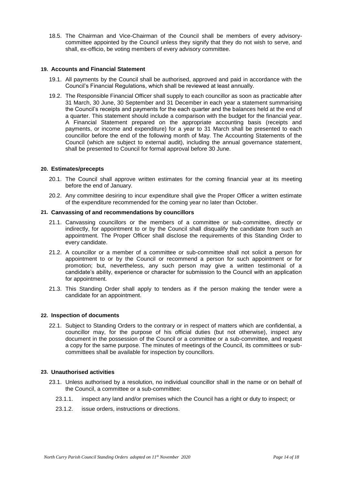18.5. The Chairman and Vice-Chairman of the Council shall be members of every advisorycommittee appointed by the Council unless they signify that they do not wish to serve, and shall, ex-officio, be voting members of every advisory committee.

## **19. Accounts and Financial Statement**

- 19.1. All payments by the Council shall be authorised, approved and paid in accordance with the Council's Financial Regulations, which shall be reviewed at least annually.
- 19.2. The Responsible Financial Officer shall supply to each councillor as soon as practicable after 31 March, 30 June, 30 September and 31 December in each year a statement summarising the Council's receipts and payments for the each quarter and the balances held at the end of a quarter. This statement should include a comparison with the budget for the financial year. A Financial Statement prepared on the appropriate accounting basis (receipts and payments, or income and expenditure) for a year to 31 March shall be presented to each councillor before the end of the following month of May. The Accounting Statements of the Council (which are subject to external audit), including the annual governance statement, shall be presented to Council for formal approval before 30 June.

#### **20. Estimates/precepts**

- 20.1. The Council shall approve written estimates for the coming financial year at its meeting before the end of January.
- 20.2. Any committee desiring to incur expenditure shall give the Proper Officer a written estimate of the expenditure recommended for the coming year no later than October.

## **21. Canvassing of and recommendations by councillors**

- 21.1. Canvassing councillors or the members of a committee or sub-committee, directly or indirectly, for appointment to or by the Council shall disqualify the candidate from such an appointment. The Proper Officer shall disclose the requirements of this Standing Order to every candidate.
- 21.2. A councillor or a member of a committee or sub-committee shall not solicit a person for appointment to or by the Council or recommend a person for such appointment or for promotion; but, nevertheless, any such person may give a written testimonial of a candidate's ability, experience or character for submission to the Council with an application for appointment.
- 21.3. This Standing Order shall apply to tenders as if the person making the tender were a candidate for an appointment.

#### **22. Inspection of documents**

22.1. Subject to Standing Orders to the contrary or in respect of matters which are confidential, a councillor may, for the purpose of his official duties (but not otherwise), inspect any document in the possession of the Council or a committee or a sub-committee, and request a copy for the same purpose. The minutes of meetings of the Council, its committees or subcommittees shall be available for inspection by councillors.

#### **23. Unauthorised activities**

- 23.1. Unless authorised by a resolution, no individual councillor shall in the name or on behalf of the Council, a committee or a sub-committee:
	- 23.1.1. inspect any land and/or premises which the Council has a right or duty to inspect; or
	- 23.1.2. issue orders, instructions or directions.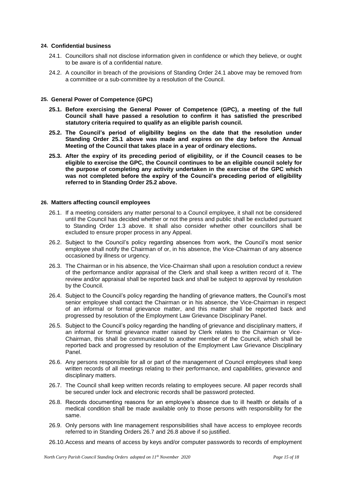#### **24. Confidential business**

- 24.1. Councillors shall not disclose information given in confidence or which they believe, or ought to be aware is of a confidential nature.
- 24.2. A councillor in breach of the provisions of Standing Order 24.1 above may be removed from a committee or a sub-committee by a resolution of the Council.

## **25. General Power of Competence (GPC)**

- **25.1. Before exercising the General Power of Competence (GPC), a meeting of the full Council shall have passed a resolution to confirm it has satisfied the prescribed statutory criteria required to qualify as an eligible parish council.**
- **25.2. The Council's period of eligibility begins on the date that the resolution under Standing Order 25.1 above was made and expires on the day before the Annual Meeting of the Council that takes place in a year of ordinary elections.**
- **25.3. After the expiry of its preceding period of eligibility, or if the Council ceases to be eligible to exercise the GPC, the Council continues to be an eligible council solely for the purpose of completing any activity undertaken in the exercise of the GPC which was not completed before the expiry of the Council's preceding period of eligibility referred to in Standing Order 25.2 above.**

#### **26. Matters affecting council employees**

- 26.1. If a meeting considers any matter personal to a Council employee, it shall not be considered until the Council has decided whether or not the press and public shall be excluded pursuant to Standing Order 1.3 above. It shall also consider whether other councillors shall be excluded to ensure proper process in any Appeal.
- 26.2. Subject to the Council's policy regarding absences from work, the Council's most senior employee shall notify the Chairman of or, in his absence, the Vice-Chairman of any absence occasioned by illness or urgency.
- 26.3. The Chairman or in his absence, the Vice-Chairman shall upon a resolution conduct a review of the performance and/or appraisal of the Clerk and shall keep a written record of it. The review and/or appraisal shall be reported back and shall be subject to approval by resolution by the Council.
- 26.4. Subject to the Council's policy regarding the handling of grievance matters, the Council's most senior employee shall contact the Chairman or in his absence, the Vice-Chairman in respect of an informal or formal grievance matter, and this matter shall be reported back and progressed by resolution of the Employment Law Grievance Disciplinary Panel.
- 26.5. Subject to the Council's policy regarding the handling of grievance and disciplinary matters, if an informal or formal grievance matter raised by Clerk relates to the Chairman or Vice-Chairman, this shall be communicated to another member of the Council, which shall be reported back and progressed by resolution of the Employment Law Grievance Disciplinary Panel.
- 26.6. Any persons responsible for all or part of the management of Council employees shall keep written records of all meetings relating to their performance, and capabilities, grievance and disciplinary matters.
- 26.7. The Council shall keep written records relating to employees secure. All paper records shall be secured under lock and electronic records shall be password protected.
- 26.8. Records documenting reasons for an employee's absence due to ill health or details of a medical condition shall be made available only to those persons with responsibility for the same.
- 26.9. Only persons with line management responsibilities shall have access to employee records referred to in Standing Orders 26.7 and 26.8 above if so justified.
- 26.10.Access and means of access by keys and/or computer passwords to records of employment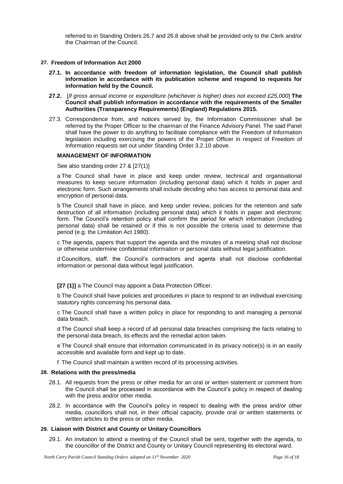referred to in Standing Orders 26.7 and 26.8 above shall be provided only to the Clerk and/or the Chairman of the Council.

## **27. Freedom of Information Act 2000**

- **27.1. In accordance with freedom of information legislation, the Council shall publish information in accordance with its publication scheme and respond to requests for information held by the Council.**
- **27.2.** [*If gross annual income or expenditure (whichever is higher) does not exceed £25,000*] **The Council shall publish information in accordance with the requirements of the Smaller Authorities (Transparency Requirements) (England) Regulations 2015.**
- 27.3. Correspondence from, and notices served by, the Information Commissioner shall be referred by the Proper Officer to the chairman of the Finance Advisory Panel. The said Panel shall have the power to do anything to facilitate compliance with the Freedom of Information legislation including exercising the powers of the Proper Officer in respect of Freedom of Information requests set out under Standing Order 3.2.10 above.

# **MANAGEMENT OF INFORMATION**

See also standing order 27 & [27(1)]

a The Council shall have in place and keep under review, technical and organisational measures to keep secure information (including personal data) which it holds in paper and electronic form. Such arrangements shall include deciding who has access to personal data and encryption of personal data.

b The Council shall have in place, and keep under review, policies for the retention and safe destruction of all information (including personal data) which it holds in paper and electronic form. The Council's retention policy shall confirm the period for which information (including personal data) shall be retained or if this is not possible the criteria used to determine that period (e.g. the Limitation Act 1980).

c The agenda, papers that support the agenda and the minutes of a meeting shall not disclose or otherwise undermine confidential information or personal data without legal justification.

d Councillors, staff, the Council's contractors and agents shall not disclose confidential information or personal data without legal justification.

**[27 (1)]** a The Council may appoint a Data Protection Officer.

b The Council shall have policies and procedures in place to respond to an individual exercising statutory rights concerning his personal data.

c The Council shall have a written policy in place for responding to and managing a personal data breach.

d The Council shall keep a record of all personal data breaches comprising the facts relating to the personal data breach, its effects and the remedial action taken.

e The Council shall ensure that information communicated in its privacy notice(s) is in an easily accessible and available form and kept up to date.

f The Council shall maintain a written record of its processing activities.

#### **28. Relations with the press/media**

- 28.1. All requests from the press or other media for an oral or written statement or comment from the Council shall be processed in accordance with the Council's policy in respect of dealing with the press and/or other media.
- 28.2. In accordance with the Council's policy in respect to dealing with the press and/or other media, councillors shall not, in their official capacity, provide oral or written statements or written articles to the press or other media.

#### **29. Liaison with District and County or Unitary Councillors**

29.1. An invitation to attend a meeting of the Council shall be sent, together with the agenda, to the councillor of the District and County or Unitary Council representing its electoral ward.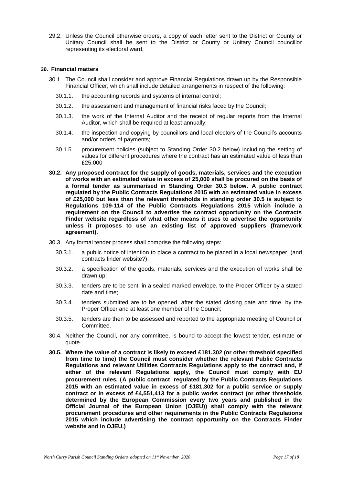29.2. Unless the Council otherwise orders, a copy of each letter sent to the District or County or Unitary Council shall be sent to the District or County or Unitary Council councillor representing its electoral ward.

#### **30. Financial matters**

- 30.1. The Council shall consider and approve Financial Regulations drawn up by the Responsible Financial Officer, which shall include detailed arrangements in respect of the following:
	- 30.1.1. the accounting records and systems of internal control;
	- 30.1.2. the assessment and management of financial risks faced by the Council;
	- 30.1.3. the work of the Internal Auditor and the receipt of regular reports from the Internal Auditor, which shall be required at least annually;
	- 30.1.4. the inspection and copying by councillors and local electors of the Council's accounts and/or orders of payments;
	- 30.1.5. procurement policies (subject to Standing Order 30.2 below) including the setting of values for different procedures where the contract has an estimated value of less than £25,000
- **30.2. Any proposed contract for the supply of goods, materials, services and the execution of works with an estimated value in excess of 25,000 shall be procured on the basis of a formal tender as summarised in Standing Order 30.3 below. A public contract regulated by the Public Contracts Regulations 2015 with an estimated value in excess of £25,000 but less than the relevant thresholds in standing order 30.5 is subject to Regulations 109-114 of the Public Contracts Regulations 2015 which include a requirement on the Council to advertise the contract opportunity on the Contracts Finder website regardless of what other means it uses to advertise the opportunity unless it proposes to use an existing list of approved suppliers (framework agreement).**
- 30.3. Any formal tender process shall comprise the following steps:
	- 30.3.1. a public notice of intention to place a contract to be placed in a local newspaper. (and contracts finder website?);
	- 30.3.2. a specification of the goods, materials, services and the execution of works shall be drawn up;
	- 30.3.3. tenders are to be sent, in a sealed marked envelope, to the Proper Officer by a stated date and time;
	- 30.3.4. tenders submitted are to be opened, after the stated closing date and time, by the Proper Officer and at least one member of the Council;
	- 30.3.5. tenders are then to be assessed and reported to the appropriate meeting of Council or Committee.
- 30.4. Neither the Council, nor any committee, is bound to accept the lowest tender, estimate or quote.
- **30.5. Where the value of a contract is likely to exceed £181,302 (or other threshold specified from time to time) the Council must consider whether the relevant Public Contracts Regulations and relevant Utilities Contracts Regulations apply to the contract and, if either of the relevant Regulations apply, the Council must comply with EU procurement rules.** (**A public contract regulated by the Public Contracts Regulations 2015 with an estimated value in excess of £181,302 for a public service or supply contract or in excess of £4,551,413 for a public works contract (or other thresholds determined by the European Commission every two years and published in the Official Journal of the European Union (OJEU)) shall comply with the relevant procurement procedures and other requirements in the Public Contracts Regulations 2015 which include advertising the contract opportunity on the Contracts Finder website and in OJEU.)**